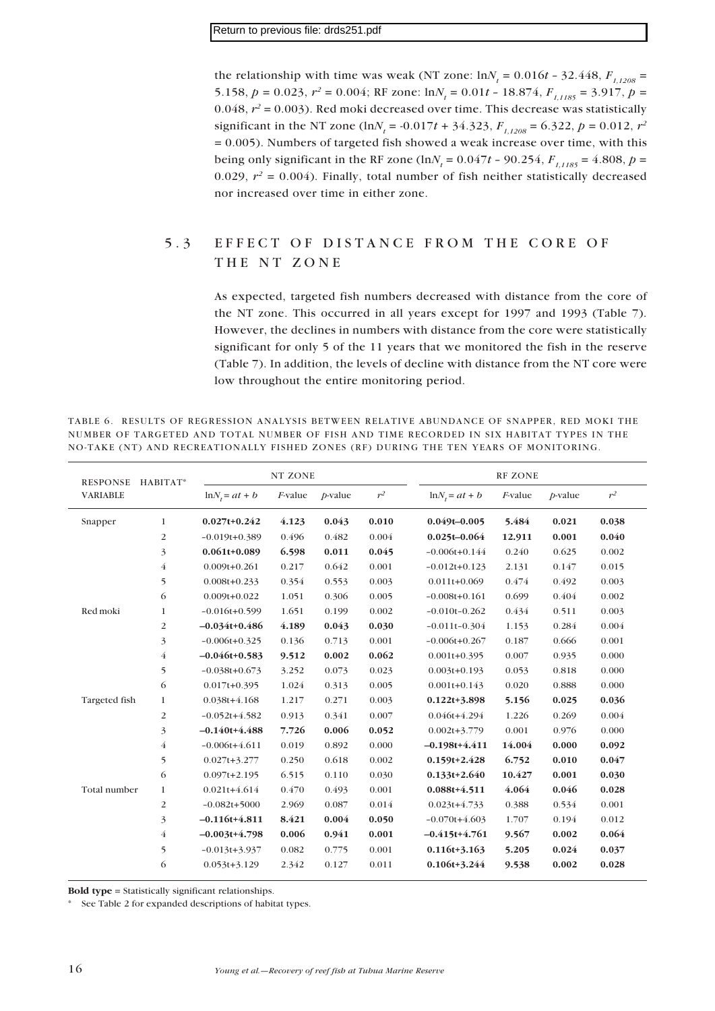the relationship with time was weak (NT zone:  $ln N_t = 0.016t - 32.448$ ,  $F_{1,1208} =$ 5.158,  $p = 0.023$ ,  $r^2 = 0.004$ ; RF zone:  $ln N_t = 0.01t - 18.874$ ,  $F_{t,1185} = 3.917$ ,  $p =$ 0.048,  $r^2$  = 0.003). Red moki decreased over time. This decrease was statistically significant in the NT zone (ln $N_t$  = -0.017*t* + 34.323,  $F_{1,1208}$  = 6.322,  $p$  = 0.012,  $r^2$  $= 0.005$ ). Numbers of targeted fish showed a weak increase over time, with this being only significant in the RF zone (ln $N_t = 0.047t - 90.254$ ,  $F_{1,1185} = 4.808$ ,  $p =$ 0.029,  $r^2 = 0.004$ ). Finally, total number of fish neither statistically decreased nor increased over time in either zone.

### 5.3 EFFECT OF DISTANCE FROM THE CORE OF THE NT ZONE

As expected, targeted fish numbers decreased with distance from the core of the NT zone. This occurred in all years except for 1997 and 1993 (Table 7). However, the declines in numbers with distance from the core were statistically significant for only 5 of the 11 years that we monitored the fish in the reserve (Table 7). In addition, the levels of decline with distance from the NT core were low throughout the entire monitoring period.

| TABLE 6. RESULTS OF REGRESSION ANALYSIS BETWEEN RELATIVE ABUNDANCE OF SNAPPER, RED MOKI THE |  |  |  |  |  |
|---------------------------------------------------------------------------------------------|--|--|--|--|--|
| NUMBER OF TARGETED AND TOTAL NUMBER OF FISH AND TIME RECORDED IN SIX HABITAT TYPES IN THE   |  |  |  |  |  |
| NO-TAKE (NT) AND RECREATIONALLY FISHED ZONES (RF) DURING THE TEN YEARS OF MONITORING.       |  |  |  |  |  |

| <b>RESPONSE</b> | HABITAT*       | NT ZONE            |                 |            |       | <b>RF ZONE</b>     |                 |            |       |
|-----------------|----------------|--------------------|-----------------|------------|-------|--------------------|-----------------|------------|-------|
| <b>VARIABLE</b> |                | $\ln N_t = at + b$ | <i>F</i> -value | $p$ -value | $r^2$ | $\ln N_t = at + b$ | <i>F</i> -value | $p$ -value | $r^2$ |
| Snapper         | $\mathbf{1}$   | $0.027t+0.242$     | 4.123           | 0.043      | 0.010 | $0.049t - 0.005$   | 5.484           | 0.021      | 0.038 |
|                 | $\overline{2}$ | $-0.019t + 0.389$  | 0.496           | 0.482      | 0.004 | $0.025t - 0.064$   | 12.911          | 0.001      | 0.040 |
|                 | 3              | $0.061t+0.089$     | 6.598           | 0.011      | 0.045 | $-0.006t + 0.144$  | 0.240           | 0.625      | 0.002 |
|                 | $\overline{4}$ | $0.009t + 0.261$   | 0.217           | 0.642      | 0.001 | $-0.012t+0.123$    | 2.131           | 0.147      | 0.015 |
|                 | 5              | $0.008t + 0.233$   | 0.354           | 0.553      | 0.003 | $0.011t + 0.069$   | 0.474           | 0.492      | 0.003 |
|                 | 6              | $0.009t + 0.022$   | 1.051           | 0.306      | 0.005 | $-0.008t + 0.161$  | 0.699           | 0.404      | 0.002 |
| Red moki        | 1              | $-0.016t + 0.599$  | 1.651           | 0.199      | 0.002 | $-0.010t - 0.262$  | 0.434           | 0.511      | 0.003 |
|                 | $\overline{c}$ | $-0.034t+0.486$    | 4.189           | 0.043      | 0.030 | $-0.011t - 0.304$  | 1.153           | 0.284      | 0.004 |
|                 | 3              | $-0.006t + 0.325$  | 0.136           | 0.713      | 0.001 | $-0.006t + 0.267$  | 0.187           | 0.666      | 0.001 |
|                 | $\overline{4}$ | $-0.046t+0.583$    | 9.512           | 0.002      | 0.062 | $0.001t + 0.395$   | 0.007           | 0.935      | 0.000 |
|                 | 5              | $-0.038t + 0.673$  | 3.252           | 0.073      | 0.023 | $0.003t+0.193$     | 0.053           | 0.818      | 0.000 |
|                 | 6              | $0.017t + 0.395$   | 1.024           | 0.313      | 0.005 | $0.001t + 0.143$   | 0.020           | 0.888      | 0.000 |
| Targeted fish   | 1              | $0.038t + 4.168$   | 1.217           | 0.271      | 0.003 | $0.122t+3.898$     | 5.156           | 0.025      | 0.036 |
|                 | $\overline{2}$ | $-0.052t + 4.582$  | 0.913           | 0.341      | 0.007 | $0.046t+4.294$     | 1.226           | 0.269      | 0.004 |
|                 | 3              | $-0.140t+4.488$    | 7.726           | 0.006      | 0.052 | $0.002t + 3.779$   | 0.001           | 0.976      | 0.000 |
|                 | $\overline{4}$ | $-0.006t + 4.611$  | 0.019           | 0.892      | 0.000 | $-0.198t + 4.411$  | 14.004          | 0.000      | 0.092 |
|                 | 5              | $0.027t+3.277$     | 0.250           | 0.618      | 0.002 | $0.159t+2.428$     | 6.752           | 0.010      | 0.047 |
|                 | 6              | $0.097t + 2.195$   | 6.515           | 0.110      | 0.030 | $0.133t+2.640$     | 10.427          | 0.001      | 0.030 |
| Total number    | $\mathbf{1}$   | $0.021t+4.614$     | 0.470           | 0.493      | 0.001 | $0.088t + 4.511$   | 4.064           | 0.046      | 0.028 |
|                 | $\overline{c}$ | $-0.082t + 5000$   | 2.969           | 0.087      | 0.014 | $0.023t+4.733$     | 0.388           | 0.534      | 0.001 |
|                 | 3              | $-0.116t+4.811$    | 8.421           | 0.004      | 0.050 | $-0.070t + 4.603$  | 1.707           | 0.194      | 0.012 |
|                 | 4              | $-0.003t+4.798$    | 0.006           | 0.941      | 0.001 | $-0.415t+4.761$    | 9.567           | 0.002      | 0.064 |
|                 | 5              | $-0.013t+3.937$    | 0.082           | 0.775      | 0.001 | $0.116t + 3.163$   | 5.205           | 0.024      | 0.037 |
|                 | 6              | $0.053t+3.129$     | 2.342           | 0.127      | 0.011 | $0.106t+3.244$     | 9.538           | 0.002      | 0.028 |

Bold type = Statistically significant relationships.

\* See Table 2 for expanded descriptions of habitat types.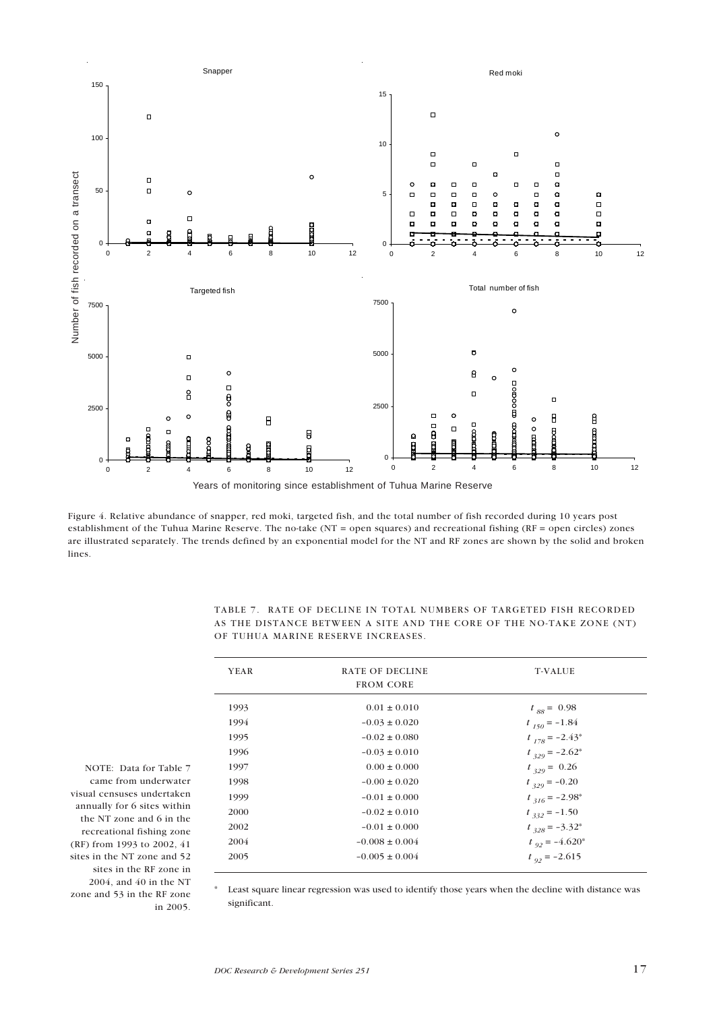

Figure 4. Relative abundance of snapper, red moki, targeted fish, and the total number of fish recorded during 10 years post establishment of the Tuhua Marine Reserve. The no-take (NT = open squares) and recreational fishing (RF = open circles) zones are illustrated separately. The trends defined by an exponential model for the NT and RF zones are shown by the solid and broken lines.

TABLE 7. RATE OF DECLINE IN TOTAL NUMBERS OF TARGETED FISH RECORDED AS THE DISTANCE BETWEEN A SITE AND THE CORE OF THE NO-TAKE ZONE (NT) OF TUHUA MARINE RESERVE INCREASES.

| <b>YEAR</b> | RATE OF DECLINE<br><b>FROM CORE</b> | <b>T-VALUE</b>      |
|-------------|-------------------------------------|---------------------|
| 1993        | $0.01 \pm 0.010$                    | $t_{.88} = 0.98$    |
| 1994        | $-0.03 \pm 0.020$                   | $t_{150} = -1.84$   |
| 1995        | $-0.02 \pm 0.080$                   | $t_{178} = -2.43^*$ |
| 1996        | $-0.03 \pm 0.010$                   | $t_{329} = -2.62^*$ |
| 1997        | $0.00 \pm 0.000$                    | $t_{329} = 0.26$    |
| 1998        | $-0.00 \pm 0.020$                   | $t_{329} = -0.20$   |
| 1999        | $-0.01 \pm 0.000$                   | $t_{316} = -2.98^*$ |
| 2000        | $-0.02 \pm 0.010$                   | $t_{332} = -1.50$   |
| 2002        | $-0.01 \pm 0.000$                   | $t_{328} = -3.32^*$ |
| 2004        | $-0.008 \pm 0.004$                  | $t_{92} = -4.620*$  |
| 2005        | $-0.005 \pm 0.004$                  | $t_{.92} = -2.615$  |
|             |                                     |                     |

NOTE: Data for Table 7 came from underwater visual censuses undertaken annually for 6 sites within the NT zone and 6 in the recreational fishing zone (RF) from 1993 to 2002, 41 sites in the NT zone and 52 sites in the RF zone in 2004, and 40 in the NT zone and 53 in the RF zone in 2005.

Least square linear regression was used to identify those years when the decline with distance was significant.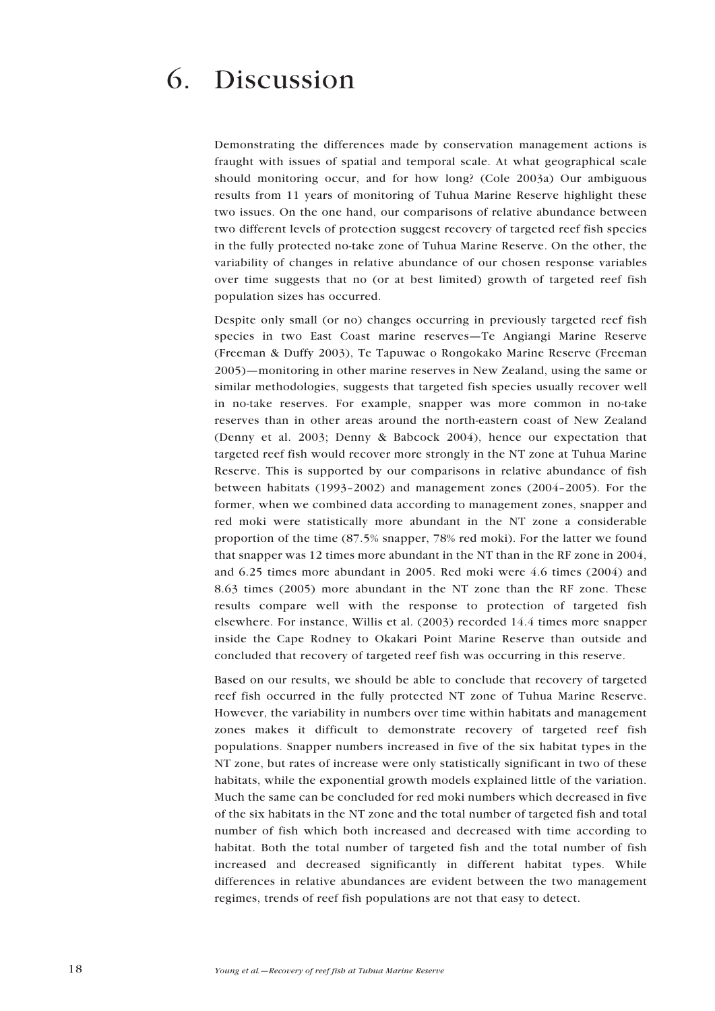## 6. Discussion

Demonstrating the differences made by conservation management actions is fraught with issues of spatial and temporal scale. At what geographical scale should monitoring occur, and for how long? (Cole 2003a) Our ambiguous results from 11 years of monitoring of Tuhua Marine Reserve highlight these two issues. On the one hand, our comparisons of relative abundance between two different levels of protection suggest recovery of targeted reef fish species in the fully protected no-take zone of Tuhua Marine Reserve. On the other, the variability of changes in relative abundance of our chosen response variables over time suggests that no (or at best limited) growth of targeted reef fish population sizes has occurred.

Despite only small (or no) changes occurring in previously targeted reef fish species in two East Coast marine reserves—Te Angiangi Marine Reserve (Freeman & Duffy 2003), Te Tapuwae o Rongokako Marine Reserve (Freeman 2005)—monitoring in other marine reserves in New Zealand, using the same or similar methodologies, suggests that targeted fish species usually recover well in no-take reserves. For example, snapper was more common in no-take reserves than in other areas around the north-eastern coast of New Zealand (Denny et al. 2003; Denny & Babcock 2004), hence our expectation that targeted reef fish would recover more strongly in the NT zone at Tuhua Marine Reserve. This is supported by our comparisons in relative abundance of fish between habitats (1993–2002) and management zones (2004–2005). For the former, when we combined data according to management zones, snapper and red moki were statistically more abundant in the NT zone a considerable proportion of the time (87.5% snapper, 78% red moki). For the latter we found that snapper was 12 times more abundant in the NT than in the RF zone in 2004, and 6.25 times more abundant in 2005. Red moki were 4.6 times (2004) and 8.63 times (2005) more abundant in the NT zone than the RF zone. These results compare well with the response to protection of targeted fish elsewhere. For instance, Willis et al. (2003) recorded 14.4 times more snapper inside the Cape Rodney to Okakari Point Marine Reserve than outside and concluded that recovery of targeted reef fish was occurring in this reserve.

Based on our results, we should be able to conclude that recovery of targeted reef fish occurred in the fully protected NT zone of Tuhua Marine Reserve. However, the variability in numbers over time within habitats and management zones makes it difficult to demonstrate recovery of targeted reef fish populations. Snapper numbers increased in five of the six habitat types in the NT zone, but rates of increase were only statistically significant in two of these habitats, while the exponential growth models explained little of the variation. Much the same can be concluded for red moki numbers which decreased in five of the six habitats in the NT zone and the total number of targeted fish and total number of fish which both increased and decreased with time according to habitat. Both the total number of targeted fish and the total number of fish increased and decreased significantly in different habitat types. While differences in relative abundances are evident between the two management regimes, trends of reef fish populations are not that easy to detect.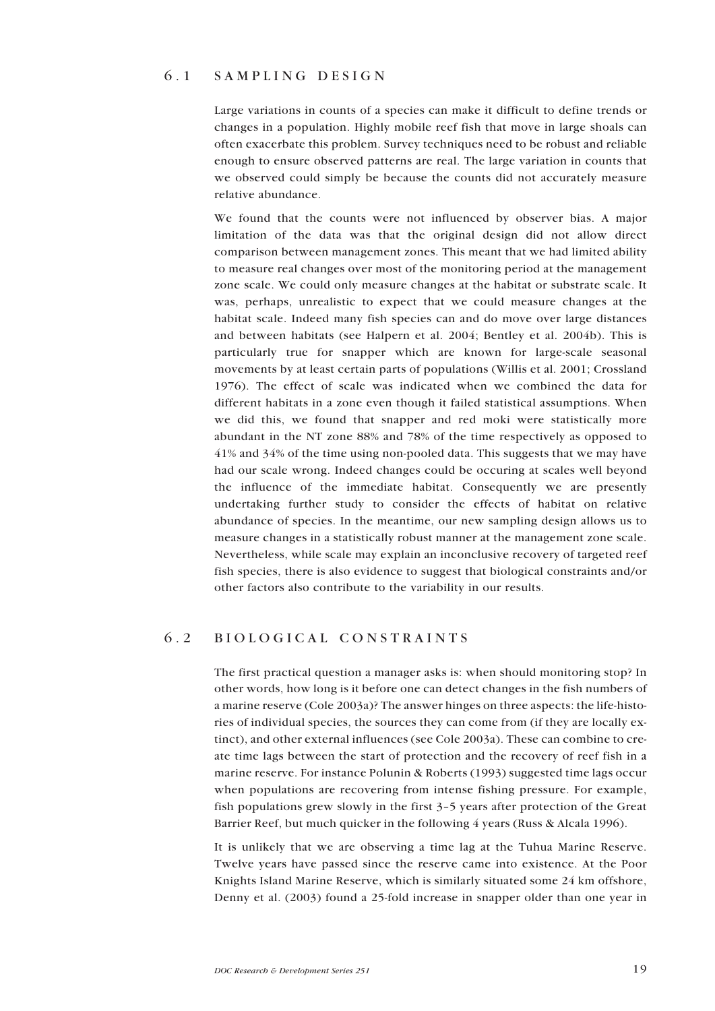#### 6.1 SAMPLING DESIGN

Large variations in counts of a species can make it difficult to define trends or changes in a population. Highly mobile reef fish that move in large shoals can often exacerbate this problem. Survey techniques need to be robust and reliable enough to ensure observed patterns are real. The large variation in counts that we observed could simply be because the counts did not accurately measure relative abundance.

We found that the counts were not influenced by observer bias. A major limitation of the data was that the original design did not allow direct comparison between management zones. This meant that we had limited ability to measure real changes over most of the monitoring period at the management zone scale. We could only measure changes at the habitat or substrate scale. It was, perhaps, unrealistic to expect that we could measure changes at the habitat scale. Indeed many fish species can and do move over large distances and between habitats (see Halpern et al. 2004; Bentley et al. 2004b). This is particularly true for snapper which are known for large-scale seasonal movements by at least certain parts of populations (Willis et al. 2001; Crossland 1976). The effect of scale was indicated when we combined the data for different habitats in a zone even though it failed statistical assumptions. When we did this, we found that snapper and red moki were statistically more abundant in the NT zone 88% and 78% of the time respectively as opposed to 41% and 34% of the time using non-pooled data. This suggests that we may have had our scale wrong. Indeed changes could be occuring at scales well beyond the influence of the immediate habitat. Consequently we are presently undertaking further study to consider the effects of habitat on relative abundance of species. In the meantime, our new sampling design allows us to measure changes in a statistically robust manner at the management zone scale. Nevertheless, while scale may explain an inconclusive recovery of targeted reef fish species, there is also evidence to suggest that biological constraints and/or other factors also contribute to the variability in our results.

#### 6.2 BIOLOGICAL CONSTRAINTS

The first practical question a manager asks is: when should monitoring stop? In other words, how long is it before one can detect changes in the fish numbers of a marine reserve (Cole 2003a)? The answer hinges on three aspects: the life-histories of individual species, the sources they can come from (if they are locally extinct), and other external influences (see Cole 2003a). These can combine to create time lags between the start of protection and the recovery of reef fish in a marine reserve. For instance Polunin & Roberts (1993) suggested time lags occur when populations are recovering from intense fishing pressure. For example, fish populations grew slowly in the first 3–5 years after protection of the Great Barrier Reef, but much quicker in the following 4 years (Russ & Alcala 1996).

It is unlikely that we are observing a time lag at the Tuhua Marine Reserve. Twelve years have passed since the reserve came into existence. At the Poor Knights Island Marine Reserve, which is similarly situated some 24 km offshore, Denny et al. (2003) found a 25-fold increase in snapper older than one year in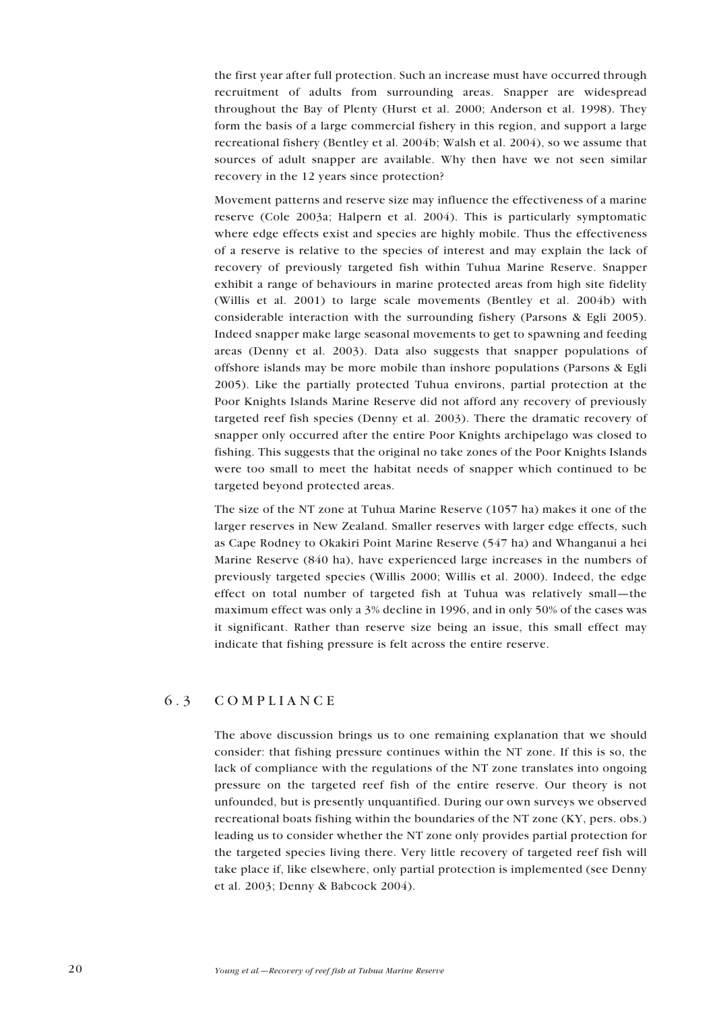the first year after full protection. Such an increase must have occurred through recruitment of adults from surrounding areas. Snapper are widespread throughout the Bay of Plenty (Hurst et al. 2000; Anderson et al. 1998). They form the basis of a large commercial fishery in this region, and support a large recreational fishery (Bentley et al. 2004b; Walsh et al. 2004), so we assume that sources of adult snapper are available. Why then have we not seen similar recovery in the 12 years since protection?

Movement patterns and reserve size may influence the effectiveness of a marine reserve (Cole 2003a; Halpern et al. 2004). This is particularly symptomatic where edge effects exist and species are highly mobile. Thus the effectiveness of a reserve is relative to the species of interest and may explain the lack of recovery of previously targeted fish within Tuhua Marine Reserve. Snapper exhibit a range of behaviours in marine protected areas from high site fidelity (Willis et al. 2001) to large scale movements (Bentley et al. 2004b) with considerable interaction with the surrounding fishery (Parsons & Egli 2005). Indeed snapper make large seasonal movements to get to spawning and feeding areas (Denny et al. 2003). Data also suggests that snapper populations of offshore islands may be more mobile than inshore populations (Parsons & Egli 2005). Like the partially protected Tuhua environs, partial protection at the Poor Knights Islands Marine Reserve did not afford any recovery of previously targeted reef fish species (Denny et al. 2003). There the dramatic recovery of snapper only occurred after the entire Poor Knights archipelago was closed to fishing. This suggests that the original no take zones of the Poor Knights Islands were too small to meet the habitat needs of snapper which continued to be targeted beyond protected areas.

The size of the NT zone at Tuhua Marine Reserve (1057 ha) makes it one of the larger reserves in New Zealand. Smaller reserves with larger edge effects, such as Cape Rodney to Okakiri Point Marine Reserve (547 ha) and Whanganui a hei Marine Reserve (840 ha), have experienced large increases in the numbers of previously targeted species (Willis 2000; Willis et al. 2000). Indeed, the edge effect on total number of targeted fish at Tuhua was relatively small—the maximum effect was only a 3% decline in 1996, and in only 50% of the cases was it significant. Rather than reserve size being an issue, this small effect may indicate that fishing pressure is felt across the entire reserve.

#### 6.3 COMPLIANCE

The above discussion brings us to one remaining explanation that we should consider: that fishing pressure continues within the NT zone. If this is so, the lack of compliance with the regulations of the NT zone translates into ongoing pressure on the targeted reef fish of the entire reserve. Our theory is not unfounded, but is presently unquantified. During our own surveys we observed recreational boats fishing within the boundaries of the NT zone (KY, pers. obs.) leading us to consider whether the NT zone only provides partial protection for the targeted species living there. Very little recovery of targeted reef fish will take place if, like elsewhere, only partial protection is implemented (see Denny et al. 2003; Denny & Babcock 2004).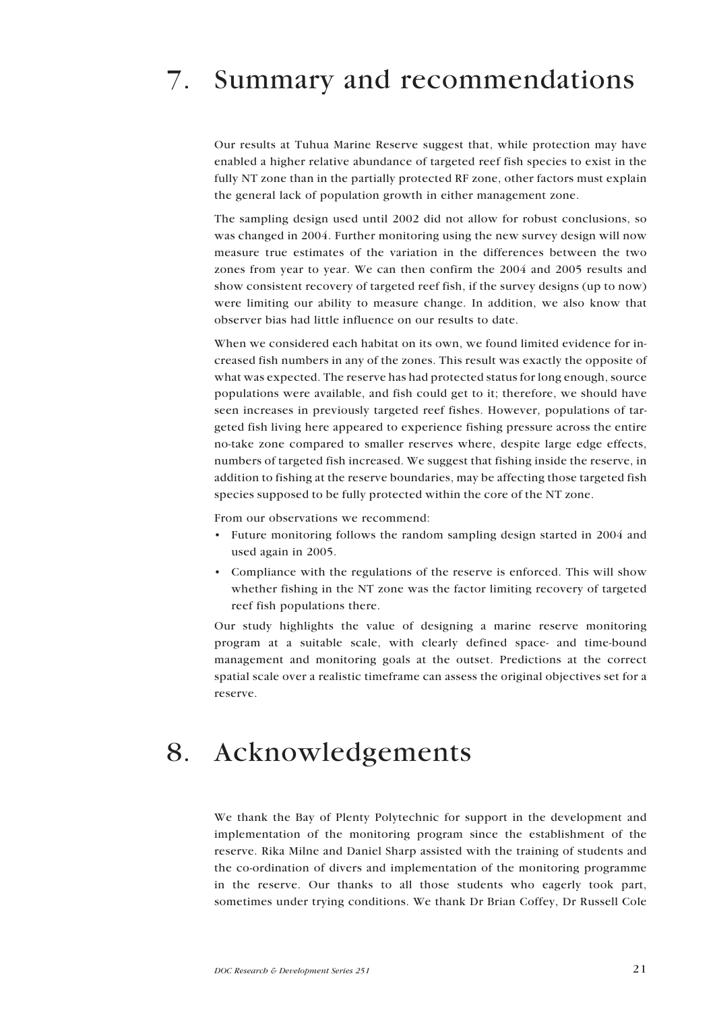# 7. Summary and recommendations

Our results at Tuhua Marine Reserve suggest that, while protection may have enabled a higher relative abundance of targeted reef fish species to exist in the fully NT zone than in the partially protected RF zone, other factors must explain the general lack of population growth in either management zone.

The sampling design used until 2002 did not allow for robust conclusions, so was changed in 2004. Further monitoring using the new survey design will now measure true estimates of the variation in the differences between the two zones from year to year. We can then confirm the 2004 and 2005 results and show consistent recovery of targeted reef fish, if the survey designs (up to now) were limiting our ability to measure change. In addition, we also know that observer bias had little influence on our results to date.

When we considered each habitat on its own, we found limited evidence for increased fish numbers in any of the zones. This result was exactly the opposite of what was expected. The reserve has had protected status for long enough, source populations were available, and fish could get to it; therefore, we should have seen increases in previously targeted reef fishes. However, populations of targeted fish living here appeared to experience fishing pressure across the entire no-take zone compared to smaller reserves where, despite large edge effects, numbers of targeted fish increased. We suggest that fishing inside the reserve, in addition to fishing at the reserve boundaries, may be affecting those targeted fish species supposed to be fully protected within the core of the NT zone.

From our observations we recommend:

- Future monitoring follows the random sampling design started in 2004 and used again in 2005.
- Compliance with the regulations of the reserve is enforced. This will show whether fishing in the NT zone was the factor limiting recovery of targeted reef fish populations there.

Our study highlights the value of designing a marine reserve monitoring program at a suitable scale, with clearly defined space- and time-bound management and monitoring goals at the outset. Predictions at the correct spatial scale over a realistic timeframe can assess the original objectives set for a reserve.

### 8. Acknowledgements

We thank the Bay of Plenty Polytechnic for support in the development and implementation of the monitoring program since the establishment of the reserve. Rika Milne and Daniel Sharp assisted with the training of students and the co-ordination of divers and implementation of the monitoring programme in the reserve. Our thanks to all those students who eagerly took part, sometimes under trying conditions. We thank Dr Brian Coffey, Dr Russell Cole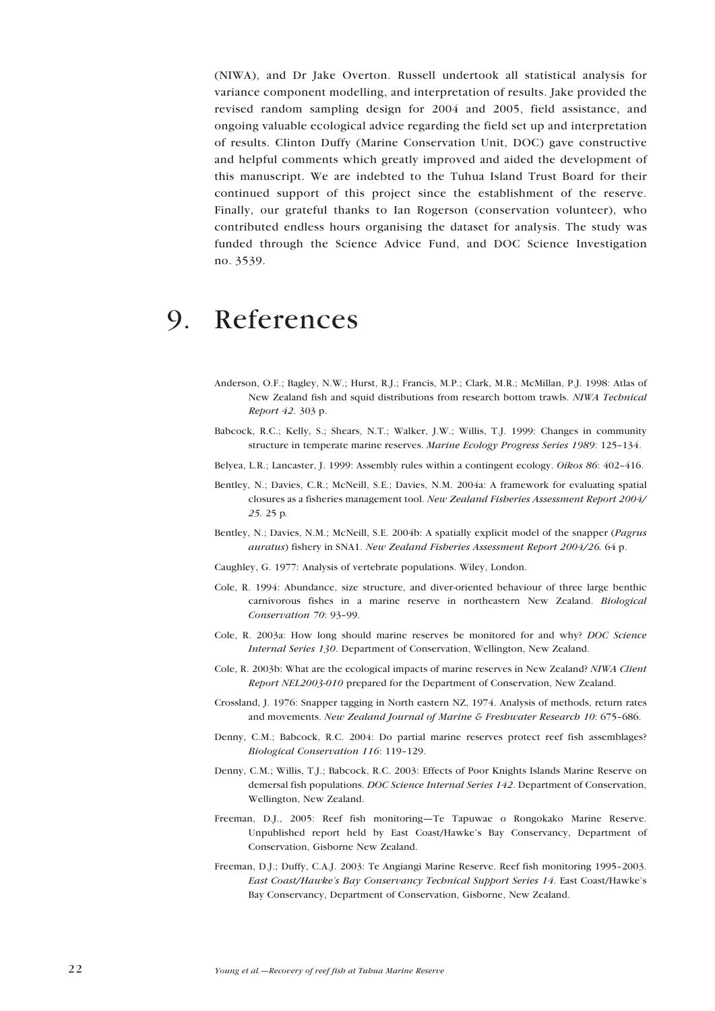(NIWA), and Dr Jake Overton. Russell undertook all statistical analysis for variance component modelling, and interpretation of results. Jake provided the revised random sampling design for 2004 and 2005, field assistance, and ongoing valuable ecological advice regarding the field set up and interpretation of results. Clinton Duffy (Marine Conservation Unit, DOC) gave constructive and helpful comments which greatly improved and aided the development of this manuscript. We are indebted to the Tuhua Island Trust Board for their continued support of this project since the establishment of the reserve. Finally, our grateful thanks to Ian Rogerson (conservation volunteer), who contributed endless hours organising the dataset for analysis. The study was funded through the Science Advice Fund, and DOC Science Investigation no. 3539.

## 9. References

- Anderson, O.F.; Bagley, N.W.; Hurst, R.J.; Francis, M.P.; Clark, M.R.; McMillan, P.J. 1998: Atlas of New Zealand fish and squid distributions from research bottom trawls. *NIWA Technical Report 42*. 303 p.
- Babcock, R.C.; Kelly, S.; Shears, N.T.; Walker, J.W.; Willis, T.J. 1999: Changes in community structure in temperate marine reserves. *Marine Ecology Progress Series 1989*: 125–134.
- Belyea, L.R.; Lancaster, J. 1999: Assembly rules within a contingent ecology. *Oikos 86*: 402–416.
- Bentley, N.; Davies, C.R.; McNeill, S.E.; Davies, N.M. 2004a: A framework for evaluating spatial closures as a fisheries management tool. *New Zealand Fisheries Assessment Report 2004/ 25.* 25 p*.*
- Bentley, N.; Davies, N.M.; McNeill, S.E. 2004b: A spatially explicit model of the snapper (*Pagrus auratus*) fishery in SNA1. *New Zealand Fisheries Assessment Report 2004/26.* 64 p.
- Caughley, G. 1977: Analysis of vertebrate populations. Wiley, London.
- Cole, R. 1994: Abundance, size structure, and diver-oriented behaviour of three large benthic carnivorous fishes in a marine reserve in northeastern New Zealand. *Biological Conservation 70*: 93–99.
- Cole, R. 2003a: How long should marine reserves be monitored for and why? *DOC Science Internal Series 130*. Department of Conservation, Wellington, New Zealand.
- Cole, R. 2003b: What are the ecological impacts of marine reserves in New Zealand? *NIWA Client Report NEL2003-010* prepared for the Department of Conservation, New Zealand.
- Crossland, J. 1976: Snapper tagging in North eastern NZ, 1974. Analysis of methods, return rates and movements. *New Zealand Journal of Marine & Freshwater Research 10*: 675–686.
- Denny, C.M.; Babcock, R.C. 2004: Do partial marine reserves protect reef fish assemblages? *Biological Conservation 116*: 119–129.
- Denny, C.M.; Willis, T.J.; Babcock, R.C. 2003: Effects of Poor Knights Islands Marine Reserve on demersal fish populations. *DOC Science Internal Series 142*. Department of Conservation, Wellington, New Zealand.
- Freeman, D.J., 2005: Reef fish monitoring—Te Tapuwae o Rongokako Marine Reserve. Unpublished report held by East Coast/Hawke's Bay Conservancy, Department of Conservation, Gisborne New Zealand.
- Freeman, D.J.; Duffy, C.A.J. 2003: Te Angiangi Marine Reserve. Reef fish monitoring 1995–2003. *East Coast/Hawke's Bay Conservancy Technical Support Series 14*. East Coast/Hawke's Bay Conservancy, Department of Conservation, Gisborne, New Zealand.